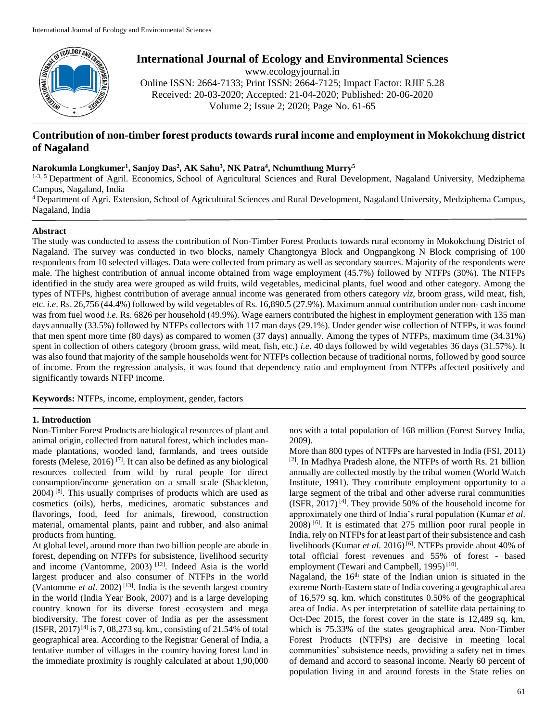

# **International Journal of Ecology and Environmental Sciences**

www.ecologyjournal.in Online ISSN: 2664-7133; Print ISSN: 2664-7125; Impact Factor: RJIF 5.28 Received: 20-03-2020; Accepted: 21-04-2020; Published: 20-06-2020 Volume 2; Issue 2; 2020; Page No. 61-65

## **Contribution of non-timber forest products towards rural income and employment in Mokokchung district of Nagaland**

### **Narokumla Longkumer<sup>1</sup> , Sanjoy Das<sup>2</sup> , AK Sahu<sup>3</sup> , NK Patra<sup>4</sup> , Nchumthung Murry<sup>5</sup>**

<sup>1-3, 5</sup> Department of Agril. Economics, School of Agricultural Sciences and Rural Development, Nagaland University, Medziphema Campus, Nagaland, India

<sup>4</sup> Department of Agri. Extension, School of Agricultural Sciences and Rural Development, Nagaland University, Medziphema Campus, Nagaland, India

#### **Abstract**

The study was conducted to assess the contribution of Non-Timber Forest Products towards rural economy in Mokokchung District of Nagaland. The survey was conducted in two blocks, namely Changtongya Block and Ongpangkong N Block comprising of 100 respondents from 10 selected villages. Data were collected from primary as well as secondary sources. Majority of the respondents were male. The highest contribution of annual income obtained from wage employment (45.7%) followed by NTFPs (30%). The NTFPs identified in the study area were grouped as wild fruits, wild vegetables, medicinal plants, fuel wood and other category. Among the types of NTFPs, highest contribution of average annual income was generated from others category *viz,* broom grass, wild meat, fish, etc. *i.e*. Rs. 26,756 (44.4%) followed by wild vegetables of Rs. 16,890.5 (27.9%). Maximum annual contribution under non- cash income was from fuel wood *i.e.* Rs. 6826 per household (49.9%). Wage earners contributed the highest in employment generation with 135 man days annually (33.5%) followed by NTFPs collectors with 117 man days (29.1%). Under gender wise collection of NTFPs, it was found that men spent more time (80 days) as compared to women (37 days) annually. Among the types of NTFPs, maximum time (34.31%) spent in collection of others category (broom grass, wild meat, fish, etc.) *i.e*. 40 days followed by wild vegetables 36 days (31.57%). It was also found that majority of the sample households went for NTFPs collection because of traditional norms, followed by good source of income. From the regression analysis, it was found that dependency ratio and employment from NTFPs affected positively and significantly towards NTFP income.

**Keywords:** NTFPs, income, employment, gender, factors

#### **1. Introduction**

Non-Timber Forest Products are biological resources of plant and animal origin, collected from natural forest, which includes manmade plantations, wooded land, farmlands, and trees outside forests (Melese, 2016) [7]. It can also be defined as any biological resources collected from wild by rural people for direct consumption/income generation on a small scale (Shackleton,  $2004$ ) <sup>[8]</sup>. This usually comprises of products which are used as cosmetics (oils), herbs, medicines, aromatic substances and flavorings, food, feed for animals, firewood, construction material, ornamental plants, paint and rubber, and also animal products from hunting.

At global level, around more than two billion people are abode in forest, depending on NTFPs for subsistence, livelihood security and income (Vantomme, 2003) <sup>[12]</sup>. Indeed Asia is the world largest producer and also consumer of NTFPs in the world (Vantomme *et al*. 2002) [13]. India is the seventh largest country in the world (India Year Book, 2007) and is a large developing country known for its diverse forest ecosystem and mega biodiversity. The forest cover of India as per the assessment  $(ISFR, 2017)^{[4]}$  is 7, 08,273 sq. km., consisting of 21.54% of total geographical area. According to the Registrar General of India, a tentative number of villages in the country having forest land in the immediate proximity is roughly calculated at about 1,90,000

nos with a total population of 168 million (Forest Survey India, 2009).

More than 800 types of NTFPs are harvested in India (FSI, 2011) [2]. In Madhya Pradesh alone, the NTFPs of worth Rs. 21 billion annually are collected mostly by the tribal women (World Watch Institute, 1991). They contribute employment opportunity to a large segment of the tribal and other adverse rural communities  $(ISFR, 2017)$ <sup>[4]</sup>. They provide 50% of the household income for approximately one third of India's rural population (Kumar *et al*. 2008) [6]. It is estimated that 275 million poor rural people in India, rely on NTFPs for at least part of their subsistence and cash livelihoods (Kumar *et al.* 2016)<sup>[6]</sup>. NTFPs provide about 40% of total official forest revenues and 55% of forest - based employment (Tewari and Campbell, 1995)<sup>[10]</sup>.

Nagaland, the 16<sup>th</sup> state of the Indian union is situated in the extreme North-Eastern state of India covering a geographical area of 16,579 sq. km. which constitutes 0.50% of the geographical area of India. As per interpretation of satellite data pertaining to Oct-Dec 2015, the forest cover in the state is 12,489 sq. km, which is 75.33% of the states geographical area. Non-Timber Forest Products (NTFPs) are decisive in meeting local communities' subsistence needs, providing a safety net in times of demand and accord to seasonal income. Nearly 60 percent of population living in and around forests in the State relies on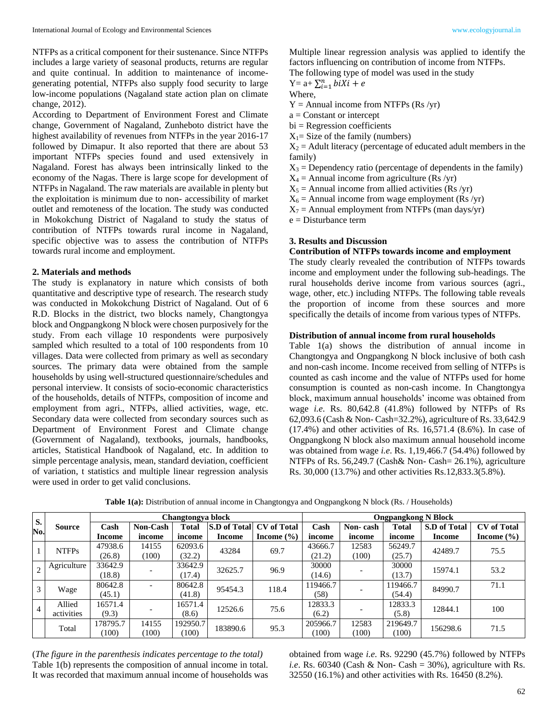NTFPs as a critical component for their sustenance. Since NTFPs includes a large variety of seasonal products, returns are regular and quite continual. In addition to maintenance of incomegenerating potential, NTFPs also supply food security to large low-income populations (Nagaland state action plan on climate change, 2012).

According to Department of Environment Forest and Climate change, Government of Nagaland, Zunheboto district have the highest availability of revenues from NTFPs in the year 2016-17 followed by Dimapur. It also reported that there are about 53 important NTFPs species found and used extensively in Nagaland. Forest has always been intrinsically linked to the economy of the Nagas. There is large scope for development of NTFPs in Nagaland. The raw materials are available in plenty but the exploitation is minimum due to non- accessibility of market outlet and remoteness of the location. The study was conducted in Mokokchung District of Nagaland to study the status of contribution of NTFPs towards rural income in Nagaland, specific objective was to assess the contribution of NTFPs towards rural income and employment.

#### **2. Materials and methods**

The study is explanatory in nature which consists of both quantitative and descriptive type of research. The research study was conducted in Mokokchung District of Nagaland. Out of 6 R.D. Blocks in the district, two blocks namely, Changtongya block and Ongpangkong N block were chosen purposively for the study. From each village 10 respondents were purposively sampled which resulted to a total of 100 respondents from 10 villages. Data were collected from primary as well as secondary sources. The primary data were obtained from the sample households by using well-structured questionnaire/schedules and personal interview. It consists of socio-economic characteristics of the households, details of NTFPs, composition of income and employment from agri., NTFPs, allied activities, wage, etc. Secondary data were collected from secondary sources such as Department of Environment Forest and Climate change (Government of Nagaland), textbooks, journals, handbooks, articles, Statistical Handbook of Nagaland, etc. In addition to simple percentage analysis, mean, standard deviation, coefficient of variation, t statistics and multiple linear regression analysis were used in order to get valid conclusions.

Multiple linear regression analysis was applied to identify the factors influencing on contribution of income from NTFPs. The following type of model was used in the study

Y= a+  $\sum_{i=1}^{n} b i X i + e$ 

Where,

 $Y =$  Annual income from NTFPs (Rs /yr)

 $a = Constant$  or intercept

 $bi = Regression coefficients$ 

 $X_1$ = Size of the family (numbers)

 $X_2$  = Adult literacy (percentage of educated adult members in the family)

 $X_3$  = Dependency ratio (percentage of dependents in the family)

 $X_4$  = Annual income from agriculture (Rs /yr)

 $X_5$  = Annual income from allied activities (Rs /yr)

 $X_6$  = Annual income from wage employment (Rs /yr)

 $X_7$  = Annual employment from NTFPs (man days/yr)

e = Disturbance term

## **3. Results and Discussion**

#### **Contribution of NTFPs towards income and employment**

The study clearly revealed the contribution of NTFPs towards income and employment under the following sub-headings. The rural households derive income from various sources (agri., wage, other, etc.) including NTFPs. The following table reveals the proportion of income from these sources and more specifically the details of income from various types of NTFPs.

#### **Distribution of annual income from rural households**

Table 1(a) shows the distribution of annual income in Changtongya and Ongpangkong N block inclusive of both cash and non-cash income. Income received from selling of NTFPs is counted as cash income and the value of NTFPs used for home consumption is counted as non-cash income. In Changtongya block, maximum annual households' income was obtained from wage *i.e*. Rs. 80,642.8 (41.8%) followed by NTFPs of Rs 62,093.6 (Cash & Non- Cash=32.2%), agriculture of Rs. 33,642.9 (17.4%) and other activities of Rs. 16,571.4 (8.6%). In case of Ongpangkong N block also maximum annual household income was obtained from wage *i.e*. Rs. 1,19,466.7 (54.4%) followed by NTFPs of Rs. 56,249.7 (Cash& Non- Cash= 26.1%), agriculture Rs. 30,000 (13.7%) and other activities Rs.12,833.3(5.8%).

|           |               |          |                 | Changtongya block |          | <b>Ongpangkong N Block</b>      |          |          |              |              |                    |  |
|-----------|---------------|----------|-----------------|-------------------|----------|---------------------------------|----------|----------|--------------|--------------|--------------------|--|
| S.<br>No. | <b>Source</b> | Cash     | <b>Non-Cash</b> | <b>Total</b>      |          | <b>S.D of Total CV of Total</b> | Cash     | Non-cash | <b>Total</b> | S.D of Total | <b>CV</b> of Total |  |
|           |               | Income   | income          | income            | Income   | Income $(\% )$                  | income   | income   | income       | Income       | Income $(\% )$     |  |
|           | <b>NTFPs</b>  | 47938.6  | 14155           | 62093.6           | 43284    | 69.7                            | 43666.7  | 12583    | 56249.7      | 42489.7      | 75.5               |  |
|           |               | (26.8)   | (100)           | (32.2)            |          |                                 | (21.2)   | (100)    | (25.7)       |              |                    |  |
|           | Agriculture   | 33642.9  |                 | 33642.9           | 32625.7  | 96.9                            | 30000    |          | 30000        | 15974.1      | 53.2               |  |
|           |               | (18.8)   |                 | (17.4)            |          |                                 | (14.6)   |          | (13.7)       |              |                    |  |
|           | Wage          | 80642.8  |                 | 80642.8           | 95454.3  | 118.4                           | 119466.7 |          | 119466.7     | 84990.7      | 71.1               |  |
|           |               | (45.1)   |                 | (41.8)            |          |                                 | (58)     |          | (54.4)       |              |                    |  |
|           | Allied        | 16571.4  |                 | 16571.4           | 12526.6  | 75.6                            | 12833.3  |          | 12833.3      | 12844.1      | 100                |  |
|           | activities    | (9.3)    |                 | (8.6)             |          |                                 | (6.2)    |          | (5.8)        |              |                    |  |
|           | Total         | 178795.7 | 14155           | 192950.7          | 183890.6 | 95.3                            | 205966.7 | 12583    | 219649.7     | 156298.6     | 71.5               |  |
|           |               | (100)    | (100)           | (100)             |          |                                 | (100)    | (100)    | (100)        |              |                    |  |

**Table 1(a):** Distribution of annual income in Changtongya and Ongpangkong N block (Rs. / Households)

(*The figure in the parenthesis indicates percentage to the total)* Table 1(b) represents the composition of annual income in total. It was recorded that maximum annual income of households was obtained from wage *i.e*. Rs. 92290 (45.7%) followed by NTFPs *i.e.* Rs. 60340 (Cash & Non- Cash =  $30\%$ ), agriculture with Rs. 32550 (16.1%) and other activities with Rs. 16450 (8.2%).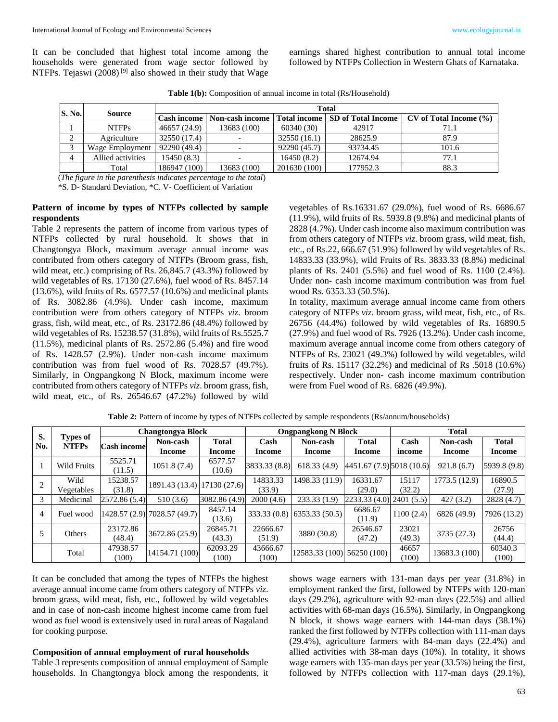earnings shared highest contribution to annual total income followed by NTFPs Collection in Western Ghats of Karnataka.

|  |  |  |  | Table 1(b): Composition of annual income in total (Rs/Household) |  |
|--|--|--|--|------------------------------------------------------------------|--|
|--|--|--|--|------------------------------------------------------------------|--|

| <b>S. No.</b> |                   |              | <b>Total</b>    |                     |                           |                        |  |  |  |  |  |  |
|---------------|-------------------|--------------|-----------------|---------------------|---------------------------|------------------------|--|--|--|--|--|--|
|               | Source            | Cash income  | Non-cash income | <b>Total income</b> | <b>SD</b> of Total Income | CV of Total Income (%) |  |  |  |  |  |  |
|               | <b>NTFPs</b>      | 46657 (24.9) | 13683 (100)     | 60340(30)           | 42917                     | 71.1                   |  |  |  |  |  |  |
| ◠<br>∠        | Agriculture       | 32550 (17.4) |                 | 32550(16.1)         | 28625.9                   | 87.9                   |  |  |  |  |  |  |
|               | Wage Employment   | 92290 (49.4) |                 | 92290 (45.7)        | 93734.45                  | 101.6                  |  |  |  |  |  |  |
|               | Allied activities | 15450 (8.3)  |                 | 16450(8.2)          | 12674.94                  | 77.1                   |  |  |  |  |  |  |
|               | Total             | 186947 (100) | 13683 (100)     | 201630 (100)        | 177952.3                  | 88.3                   |  |  |  |  |  |  |

(*The figure in the parenthesis indicates percentage to the total*)

\*S. D- Standard Deviation, \*C. V- Coefficient of Variation

#### **Pattern of income by types of NTFPs collected by sample respondents**

Table 2 represents the pattern of income from various types of NTFPs collected by rural household. It shows that in Changtongya Block, maximum average annual income was contributed from others category of NTFPs (Broom grass, fish, wild meat, etc.) comprising of Rs. 26,845.7 (43.3%) followed by wild vegetables of Rs. 17130 (27.6%), fuel wood of Rs. 8457.14 (13.6%), wild fruits of Rs. 6577.57 (10.6%) and medicinal plants of Rs. 3082.86 (4.9%). Under cash income, maximum contribution were from others category of NTFPs *viz*. broom grass, fish, wild meat, etc., of Rs. 23172.86 (48.4%) followed by wild vegetables of Rs. 15238.57 (31.8%), wild fruits of Rs.5525.7 (11.5%), medicinal plants of Rs. 2572.86 (5.4%) and fire wood of Rs. 1428.57 (2.9%). Under non-cash income maximum contribution was from fuel wood of Rs. 7028.57 (49.7%). Similarly, in Ongpangkong N Block, maximum income were contributed from others category of NTFPs *viz*. broom grass, fish, wild meat, etc., of Rs. 26546.67 (47.2%) followed by wild vegetables of Rs.16331.67 (29.0%), fuel wood of Rs. 6686.67 (11.9%), wild fruits of Rs. 5939.8 (9.8%) and medicinal plants of 2828 (4.7%). Under cash income also maximum contribution was from others category of NTFPs *viz*. broom grass, wild meat, fish, etc., of Rs.22, 666.67 (51.9%) followed by wild vegetables of Rs. 14833.33 (33.9%), wild Fruits of Rs. 3833.33 (8.8%) medicinal plants of Rs. 2401 (5.5%) and fuel wood of Rs. 1100 (2.4%). Under non- cash income maximum contribution was from fuel wood Rs. 6353.33 (50.5%).

In totality, maximum average annual income came from others category of NTFPs *viz*. broom grass, wild meat, fish, etc., of Rs. 26756 (44.4%) followed by wild vegetables of Rs. 16890.5 (27.9%) and fuel wood of Rs. 7926 (13.2%). Under cash income, maximum average annual income come from others category of NTFPs of Rs. 23021 (49.3%) followed by wild vegetables, wild fruits of Rs. 15117 (32.2%) and medicinal of Rs .5018 (10.6%) respectively. Under non- cash income maximum contribution were from Fuel wood of Rs. 6826 (49.9%).

| S.             |                          |                    | <b>Changtongya Block</b>     |                             |                                      | <b>Ongpangkong N Block</b>  |                            | <b>Total</b> |               |               |  |
|----------------|--------------------------|--------------------|------------------------------|-----------------------------|--------------------------------------|-----------------------------|----------------------------|--------------|---------------|---------------|--|
| No.            | Types of<br><b>NTFPs</b> | <b>Cash income</b> | Non-cash                     | <b>Total</b>                | Cash<br>Non-cash<br>Income<br>Income |                             | <b>Total</b>               | Cash         | Non-cash      | <b>Total</b>  |  |
|                |                          |                    | Income                       | <b>Income</b>               |                                      |                             | Income                     | income       | Income        | <b>Income</b> |  |
|                | Wild Fruits              | 5525.71            | 1051.8 (7.4)                 | 6577.57                     | 3833.33 (8.8)                        | 618.33(4.9)                 | 4451.67 (7.9) 5018 (10.6)  |              | 921.8(6.7)    | 5939.8 (9.8)  |  |
|                |                          | (11.5)             |                              | (10.6)                      |                                      |                             |                            |              |               |               |  |
|                | Wild                     | 15238.57           |                              | 1891.43 (13.4) 17130 (27.6) |                                      | 1498.33 (11.9)              | 16331.67                   | 15117        | 1773.5(12.9)  | 16890.5       |  |
|                | Vegetables               | (31.8)             |                              |                             | (33.9)                               |                             | (29.0)                     | (32.2)       |               | (27.9)        |  |
|                | Medicinal                | 2572.86 (5.4)      | 510(3.6)                     | 3082.86 (4.9)               | 2000(4.6)                            | 233.33(1.9)                 | [2233.33 (4.0) 2401 (5.5)] |              | 427(3.2)      | 2828 (4.7)    |  |
| $\overline{4}$ | Fuel wood                |                    | 1428.57 (2.9) 7028.57 (49.7) | 8457.14                     |                                      | 333.33 (0.8) 6353.33 (50.5) | 6686.67                    | 1100(2.4)    | 6826 (49.9)   |               |  |
|                |                          |                    |                              | (13.6)                      |                                      |                             | (11.9)                     |              |               | 7926 (13.2)   |  |
|                | Others                   | 23172.86           | 3672.86 (25.9)               | 26845.71                    | 22666.67                             | 3880 (30.8)                 | 26546.67                   | 23021        |               | 26756         |  |
|                |                          | (48.4)             |                              | (43.3)                      | (51.9)                               |                             | (47.2)                     | (49.3)       | 3735 (27.3)   | (44.4)        |  |
|                | Total                    | 47938.57           | 14154.71 (100)               | 62093.29                    | 43666.67                             | 12583.33 (100) 56250 (100)  |                            | 46657        | 13683.3 (100) | 60340.3       |  |
|                |                          | (100)              |                              | (100)                       | (100)                                |                             |                            | (100)        |               | (100)         |  |

Table 2: Pattern of income by types of NTFPs collected by sample respondents (Rs/annum/households)

It can be concluded that among the types of NTFPs the highest average annual income came from others category of NTFPs *viz*. broom grass, wild meat, fish, etc., followed by wild vegetables and in case of non-cash income highest income came from fuel wood as fuel wood is extensively used in rural areas of Nagaland for cooking purpose.

**Composition of annual employment of rural households**

Table 3 represents composition of annual employment of Sample households. In Changtongya block among the respondents, it shows wage earners with 131-man days per year (31.8%) in employment ranked the first, followed by NTFPs with 120-man days (29.2%), agriculture with 92-man days (22.5%) and allied activities with 68-man days (16.5%). Similarly, in Ongpangkong N block, it shows wage earners with 144-man days (38.1%) ranked the first followed by NTFPs collection with 111-man days (29.4%), agriculture farmers with 84-man days (22.4%) and allied activities with 38-man days (10%). In totality, it shows wage earners with 135-man days per year (33.5%) being the first, followed by NTFPs collection with 117-man days (29.1%),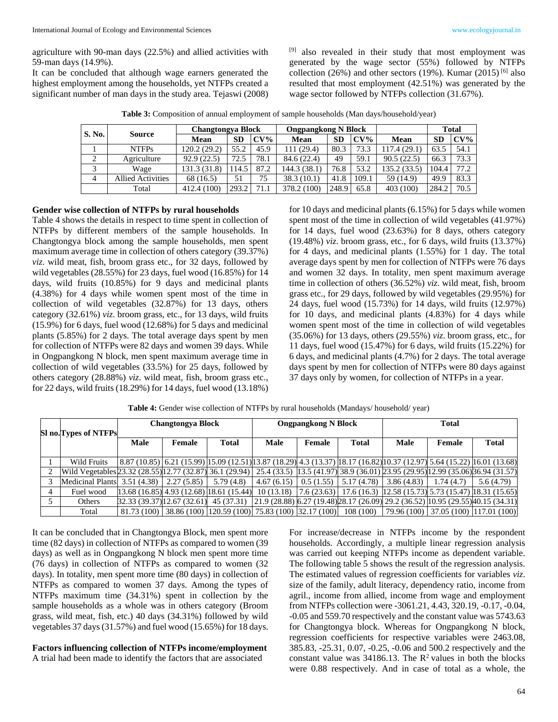agriculture with 90-man days (22.5%) and allied activities with 59-man days (14.9%).

It can be concluded that although wage earners generated the highest employment among the households, yet NTFPs created a significant number of man days in the study area. Tejaswi (2008)

[9] also revealed in their study that most employment was generated by the wage sector (55%) followed by NTFPs collection (26%) and other sectors (19%). Kumar (2015) <sup>[6]</sup> also resulted that most employment (42.51%) was generated by the wage sector followed by NTFPs collection (31.67%).

| Table 3: Composition of annual employment of sample households (Man days/household/year) |  |  |  |  |
|------------------------------------------------------------------------------------------|--|--|--|--|
|------------------------------------------------------------------------------------------|--|--|--|--|

| S. No.         | <b>Source</b>            | <b>Changtongya Block</b> |           |        | <b>Ongpangkong N Block</b> |           |       |             | <b>Total</b> |        |
|----------------|--------------------------|--------------------------|-----------|--------|----------------------------|-----------|-------|-------------|--------------|--------|
|                |                          | Mean                     | <b>SD</b> | $CV\%$ | Mean                       | <b>SD</b> | CV%   | Mean        | <b>SD</b>    | $CV\%$ |
|                | <b>NTFPs</b>             | 120.2 (29.2)             | 55.2      | 45.9   | 111 (29.4)                 | 80.3      | 73.3  | 117.4 (29.1 | 63.5         | 54.1   |
| 2              | Agriculture              | 92.9(22.5)               | 72.5      | 78.1   | 84.6 (22.4)                | 49        | 59.1  | 90.5(22.5)  | 66.3         | 73.3   |
|                | Wage                     | 131.3 (31.8)             | 14.5      | 87.2   | 144.3 (38.1)               | 76.8      | 53.2  | 135.2(33.5) | 104.4        | 77.2   |
| $\overline{4}$ | <b>Allied Activities</b> | 68 (16.5)                | 51        | 75     | 38.3 (10.1)                | 41.8      | 109.1 | 59 (14.9)   | 49.9         | 83.3   |
|                | Total                    | 412.4 (100)              | 293.2     | 71.1   | (100)<br>378.2 (           | 248.9     | 65.8  | 403 (100)   | 284.2        | 70.5   |

#### **Gender wise collection of NTFPs by rural households**

Table 4 shows the details in respect to time spent in collection of NTFPs by different members of the sample households. In Changtongya block among the sample households, men spent maximum average time in collection of others category (39.37%) *viz*. wild meat, fish, broom grass etc., for 32 days, followed by wild vegetables (28.55%) for 23 days, fuel wood (16.85%) for 14 days, wild fruits (10.85%) for 9 days and medicinal plants (4.38%) for 4 days while women spent most of the time in collection of wild vegetables (32.87%) for 13 days, others category (32.61%) *viz*. broom grass, etc., for 13 days, wild fruits (15.9%) for 6 days, fuel wood (12.68%) for 5 days and medicinal plants (5.85%) for 2 days. The total average days spent by men for collection of NTFPs were 82 days and women 39 days. While in Ongpangkong N block, men spent maximum average time in collection of wild vegetables (33.5%) for 25 days, followed by others category (28.88%) *viz*. wild meat, fish, broom grass etc., for 22 days, wild fruits (18.29%) for 14 days, fuel wood (13.18%) for 10 days and medicinal plants (6.15%) for 5 days while women spent most of the time in collection of wild vegetables (41.97%) for 14 days, fuel wood (23.63%) for 8 days, others category (19.48%) *viz*. broom grass, etc., for 6 days, wild fruits (13.37%) for 4 days, and medicinal plants (1.55%) for 1 day. The total average days spent by men for collection of NTFPs were 76 days and women 32 days. In totality, men spent maximum average time in collection of others (36.52%) *viz*. wild meat, fish, broom grass etc., for 29 days, followed by wild vegetables (29.95%) for 24 days, fuel wood (15.73%) for 14 days, wild fruits (12.97%) for 10 days, and medicinal plants (4.83%) for 4 days while women spent most of the time in collection of wild vegetables (35.06%) for 13 days, others (29.55%) *viz*. broom grass, etc., for 11 days, fuel wood (15.47%) for 6 days, wild fruits (15.22%) for 6 days, and medicinal plants (4.7%) for 2 days. The total average days spent by men for collection of NTFPs were 80 days against 37 days only by women, for collection of NTFPs in a year.

|   | Sl no. Types of NTFPs                                                                                                                         | <b>Changtongya Block</b> |                                                              |           |            | <b>Ongpangkong N Block</b> |                                                                                                                                                                        | <b>Total</b> |                                      |              |  |
|---|-----------------------------------------------------------------------------------------------------------------------------------------------|--------------------------|--------------------------------------------------------------|-----------|------------|----------------------------|------------------------------------------------------------------------------------------------------------------------------------------------------------------------|--------------|--------------------------------------|--------------|--|
|   |                                                                                                                                               | <b>Male</b>              | Female                                                       | Total     | Male       | Female                     | <b>Total</b>                                                                                                                                                           | <b>Male</b>  | Female                               | <b>Total</b> |  |
|   | Wild Fruits                                                                                                                                   |                          |                                                              |           |            |                            | 8.87 (10.85) 6.21 (15.99) 15.09 (12.51) 13.87 (18.29) 4.3 (13.37) 18.17 (16.82) 10.37 (12.97) 5.64 (15.22) 16.01 (13.68)                                               |              |                                      |              |  |
|   | Wild Vegetables 23.32 (28.55) 12.77 (32.87)  36.1 (29.94)  25.4 (33.5)  13.5 (41.97)  38.9 (36.01) 23.95 (29.95) 12.99 (35.06)  36.94 (31.57) |                          |                                                              |           |            |                            |                                                                                                                                                                        |              |                                      |              |  |
|   | Medicinal Plants 3.51 (4.38)                                                                                                                  |                          | 2.27(5.85)                                                   | 5.79(4.8) | 4.67(6.15) | 0.5(1.55)                  | 5.17(4.78)                                                                                                                                                             | 3.86(4.83)   | 1.74(4.7)                            | 5.6(4.79)    |  |
| 4 | Fuel wood                                                                                                                                     |                          |                                                              |           |            |                            | $\left[13.68(16.85)\right]4.93(12.68)\left[18.61(15.44)\right]10(13.18)\left[7.6(23.63)\right]17.6(16.3)\left[12.58(15.73)\right]5.73(15.47)\left[18.31(15.65)\right]$ |              |                                      |              |  |
|   | Others                                                                                                                                        |                          |                                                              |           |            |                            | 32.33 (39.37) 12.67 (32.61) 45 (37.31) 21.9 (28.88) 6.27 (19.48) 28.17 (26.09) 29.2 (36.52) 10.95 (29.55) 40.15 (34.31)                                                |              |                                      |              |  |
|   | Total                                                                                                                                         |                          | 81.73 (100) 38.86 (100) 120.59 (100) 75.83 (100) 32.17 (100) |           |            |                            | 108(100)                                                                                                                                                               |              | 79.96 (100) 37.05 (100) 117.01 (100) |              |  |

**Table 4:** Gender wise collection of NTFPs by rural households (Mandays/ household/ year)

It can be concluded that in Changtongya Block, men spent more time (82 days) in collection of NTFPs as compared to women (39 days) as well as in Ongpangkong N block men spent more time (76 days) in collection of NTFPs as compared to women (32 days). In totality, men spent more time (80 days) in collection of NTFPs as compared to women 37 days. Among the types of NTFPs maximum time (34.31%) spent in collection by the sample households as a whole was in others category (Broom grass, wild meat, fish, etc.) 40 days (34.31%) followed by wild vegetables 37 days (31.57%) and fuel wood (15.65%) for 18 days.

#### **Factors influencing collection of NTFPs income/employment** A trial had been made to identify the factors that are associated

For increase/decrease in NTFPs income by the respondent households. Accordingly, a multiple linear regression analysis was carried out keeping NTFPs income as dependent variable. The following table 5 shows the result of the regression analysis. The estimated values of regression coefficients for variables *viz*. size of the family, adult literacy, dependency ratio, income from agril., income from allied, income from wage and employment from NTFPs collection were -3061.21, 4.43, 320.19, -0.17, -0.04, -0.05 and 559.70 respectively and the constant value was 5743.63 for Changtongya block. Whereas for Ongpangkong N block, regression coefficients for respective variables were 2463.08, 385.83, -25.31, 0.07, -0.25, -0.06 and 500.2 respectively and the constant value was  $34186.13$ . The  $\mathbb{R}^2$  values in both the blocks were 0.88 respectively. And in case of total as a whole, the